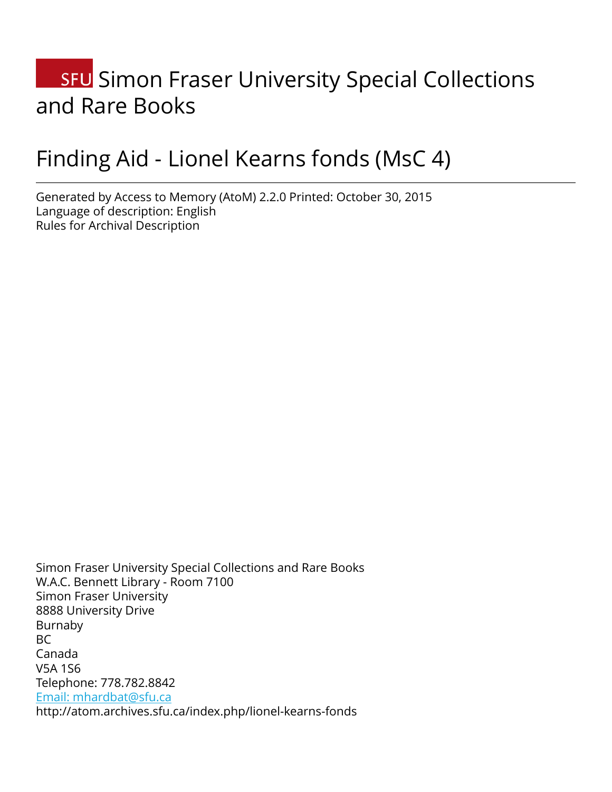# **SFU** Simon Fraser University Special Collections and Rare Books

# Finding Aid - Lionel Kearns fonds (MsC 4)

Generated by Access to Memory (AtoM) 2.2.0 Printed: October 30, 2015 Language of description: English Rules for Archival Description

Simon Fraser University Special Collections and Rare Books W.A.C. Bennett Library - Room 7100 Simon Fraser University 8888 University Drive Burnaby BC Canada V5A 1S6 Telephone: 778.782.8842 [Email: mhardbat@sfu.ca](mailto:Email: mhardbat@sfu.ca) http://atom.archives.sfu.ca/index.php/lionel-kearns-fonds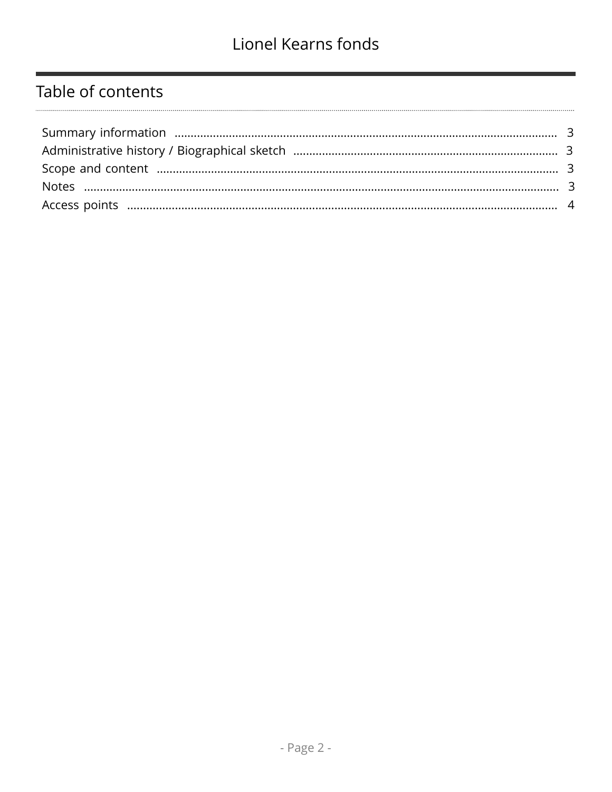# Table of contents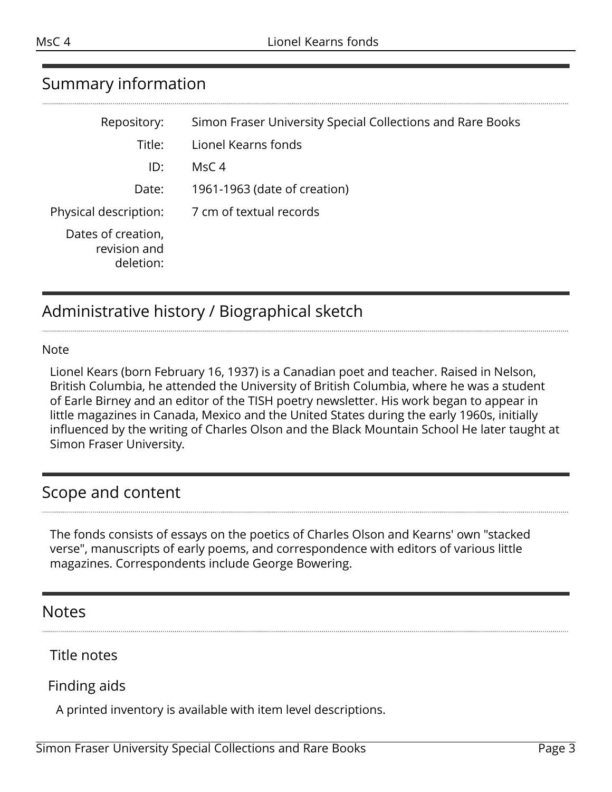# <span id="page-2-0"></span>Summary information

| Repository:                                     | Simon Fraser University Special Collections and Rare Books |
|-------------------------------------------------|------------------------------------------------------------|
| Title:                                          | Lionel Kearns fonds                                        |
| ID:                                             | MsC <sub>4</sub>                                           |
| Date:                                           | 1961-1963 (date of creation)                               |
| Physical description:                           | 7 cm of textual records                                    |
| Dates of creation,<br>revision and<br>deletion: |                                                            |

# <span id="page-2-1"></span>Administrative history / Biographical sketch

#### Note

Lionel Kears (born February 16, 1937) is a Canadian poet and teacher. Raised in Nelson, British Columbia, he attended the University of British Columbia, where he was a student of Earle Birney and an editor of the TISH poetry newsletter. His work began to appear in little magazines in Canada, Mexico and the United States during the early 1960s, initially influenced by the writing of Charles Olson and the Black Mountain School He later taught at Simon Fraser University.

## <span id="page-2-2"></span>Scope and content

The fonds consists of essays on the poetics of Charles Olson and Kearns' own "stacked verse", manuscripts of early poems, and correspondence with editors of various little magazines. Correspondents include George Bowering.

## <span id="page-2-3"></span>**Notes**

Title notes

## Finding aids

A printed inventory is available with item level descriptions.